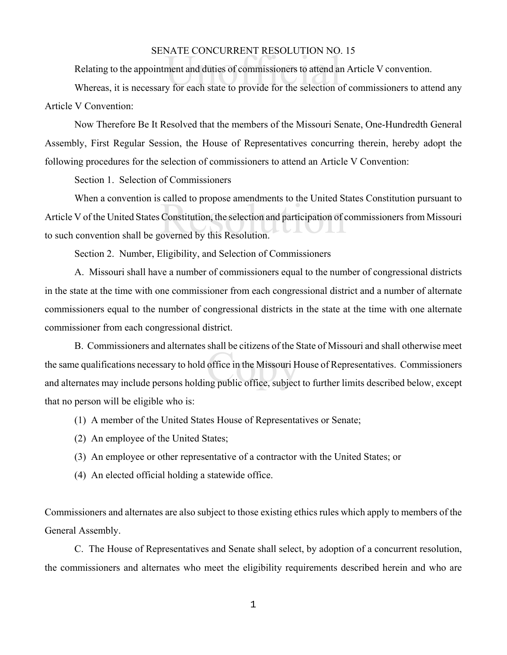## SENATE CONCURRENT RESOLUTION NO. 15

Relating to the appointment and duties of commissioners to attend an Article V convention.

SENATE CONCOKKENT KESOLOTION NO. 15<br>Relating to the appointment and duties of commissioners to attend an Article V convention.<br>Whereas, it is necessary for each state to provide for the selection of commissioners to attend Article V Convention:

Now Therefore Be It Resolved that the members of the Missouri Senate, One-Hundredth General Assembly, First Regular Session, the House of Representatives concurring therein, hereby adopt the following procedures for the selection of commissioners to attend an Article V Convention:

Section 1. Selection of Commissioners

Constitution, the selection and participation of coverned by this Resolution. When a convention is called to propose amendments to the United States Constitution pursuant to Article V of the United States Constitution, the selection and participation of commissioners from Missouri to such convention shall be governed by this Resolution.

Section 2. Number, Eligibility, and Selection of Commissioners

A. Missouri shall have a number of commissioners equal to the number of congressional districts in the state at the time with one commissioner from each congressional district and a number of alternate commissioners equal to the number of congressional districts in the state at the time with one alternate commissioner from each congressional district.

Shari be entzens of the S<br>office in the Missouri H<br>ng public office, subject B. Commissioners and alternates shall be citizens of the State of Missouri and shall otherwise meet the same qualifications necessary to hold office in the Missouri House of Representatives. Commissioners and alternates may include persons holding public office, subject to further limits described below, except that no person will be eligible who is:

- (1) A member of the United States House of Representatives or Senate;
- (2) An employee of the United States;
- (3) An employee or other representative of a contractor with the United States; or
- (4) An elected official holding a statewide office.

Commissioners and alternates are also subject to those existing ethics rules which apply to members of the General Assembly.

C. The House of Representatives and Senate shall select, by adoption of a concurrent resolution, the commissioners and alternates who meet the eligibility requirements described herein and who are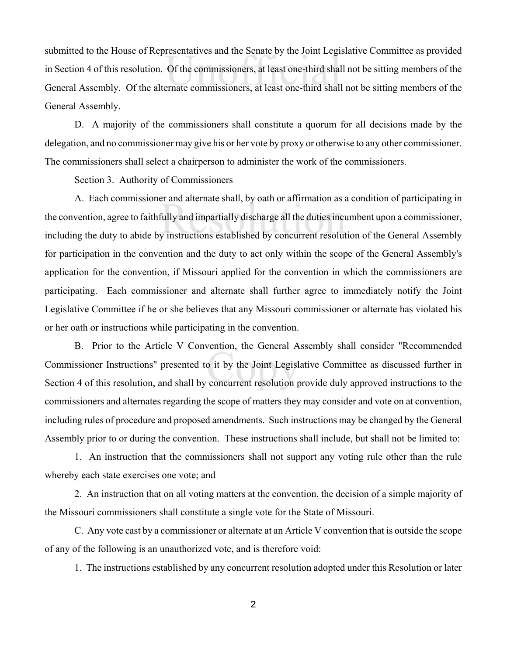resentatives and the senate by the John Legi<br>Of the commissioners, at least one-third shall<br>ernate commissioners, at least one-third shall submitted to the House of Representatives and the Senate by the Joint Legislative Committee as provided in Section 4 of this resolution. Of the commissioners, at least one-third shall not be sitting members of the General Assembly. Of the alternate commissioners, at least one-third shall not be sitting members of the General Assembly.

D. A majority of the commissioners shall constitute a quorum for all decisions made by the delegation, and no commissioner may give his or her vote by proxy or otherwise to any other commissioner. The commissioners shall select a chairperson to administer the work of the commissioners.

Section 3. Authority of Commissioners

Et and anemate shart, by oath of arrifrination as a<br>fully and impartially discharge all the duties incu<br>y instructions established by concurrent resolut A. Each commissioner and alternate shall, by oath or affirmation as a condition of participating in the convention, agree to faithfully and impartially discharge all the duties incumbent upon a commissioner, including the duty to abide by instructions established by concurrent resolution of the General Assembly for participation in the convention and the duty to act only within the scope of the General Assembly's application for the convention, if Missouri applied for the convention in which the commissioners are participating. Each commissioner and alternate shall further agree to immediately notify the Joint Legislative Committee if he or she believes that any Missouri commissioner or alternate has violated his or her oath or instructions while participating in the convention.

o it by the Joint Legisl<br>concurrent resolution p B. Prior to the Article V Convention, the General Assembly shall consider "Recommended Commissioner Instructions" presented to it by the Joint Legislative Committee as discussed further in Section 4 of this resolution, and shall by concurrent resolution provide duly approved instructions to the commissioners and alternates regarding the scope of matters they may consider and vote on at convention, including rules of procedure and proposed amendments. Such instructions may be changed by the General Assembly prior to or during the convention. These instructions shall include, but shall not be limited to:

1. An instruction that the commissioners shall not support any voting rule other than the rule whereby each state exercises one vote; and

2. An instruction that on all voting matters at the convention, the decision of a simple majority of the Missouri commissioners shall constitute a single vote for the State of Missouri.

C. Any vote cast by a commissioner or alternate at an Article V convention that is outside the scope of any of the following is an unauthorized vote, and is therefore void:

1. The instructions established by any concurrent resolution adopted under this Resolution or later

2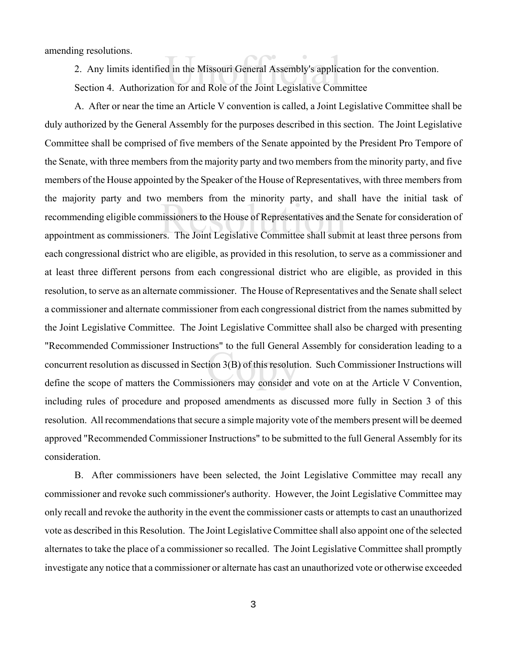amending resolutions.

2. Any limits identified in the Missouri General Assembly's application for the convention.

d in the Missouri General Assembly's applic<br>on for and Role of the Joint Legislative Com Section 4. Authorization for and Role of the Joint Legislative Committee

Internolets from the filmority party, and ships<br>insisioners to the House of Representatives and the<br>rs. The Joint Legislative Committee shall subn tion 3(B) of this resolution<br>sioners may consider a A. After or near the time an Article V convention is called, a Joint Legislative Committee shall be duly authorized by the General Assembly for the purposes described in this section. The Joint Legislative Committee shall be comprised of five members of the Senate appointed by the President Pro Tempore of the Senate, with three members from the majority party and two members from the minority party, and five members of the House appointed by the Speaker of the House of Representatives, with three members from the majority party and two members from the minority party, and shall have the initial task of recommending eligible commissioners to the House of Representatives and the Senate for consideration of appointment as commissioners. The Joint Legislative Committee shall submit at least three persons from each congressional district who are eligible, as provided in this resolution, to serve as a commissioner and at least three different persons from each congressional district who are eligible, as provided in this resolution, to serve as an alternate commissioner. The House of Representatives and the Senate shall select a commissioner and alternate commissioner from each congressional district from the names submitted by the Joint Legislative Committee. The Joint Legislative Committee shall also be charged with presenting "Recommended Commissioner Instructions" to the full General Assembly for consideration leading to a concurrent resolution as discussed in Section 3(B) of this resolution. Such Commissioner Instructions will define the scope of matters the Commissioners may consider and vote on at the Article V Convention, including rules of procedure and proposed amendments as discussed more fully in Section 3 of this resolution. All recommendations that secure a simple majority vote of the members present will be deemed approved "Recommended Commissioner Instructions" to be submitted to the full General Assembly for its consideration.

B. After commissioners have been selected, the Joint Legislative Committee may recall any commissioner and revoke such commissioner's authority. However, the Joint Legislative Committee may only recall and revoke the authority in the event the commissioner casts or attempts to cast an unauthorized vote as described in this Resolution. The Joint Legislative Committee shall also appoint one of the selected alternates to take the place of a commissioner so recalled. The Joint Legislative Committee shall promptly investigate any notice that a commissioner or alternate has cast an unauthorized vote or otherwise exceeded